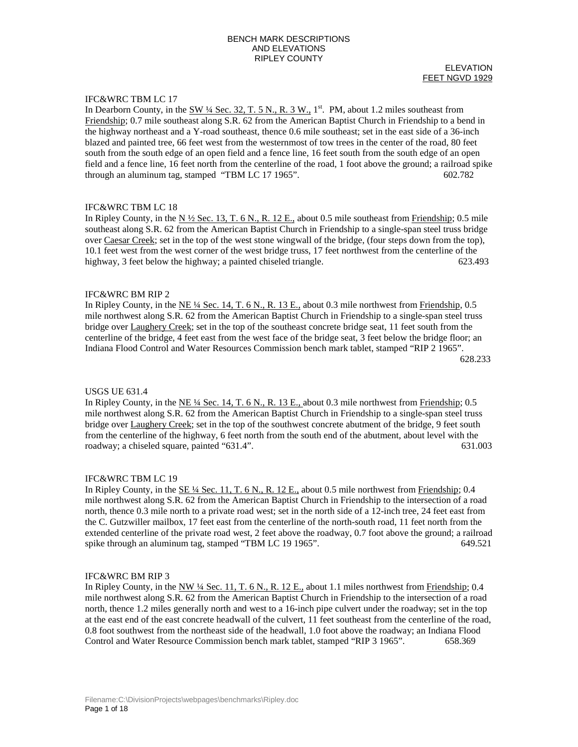#### ELEVATION FEET NGVD 1929

# IFC&WRC TBM LC 17

In Dearborn County, in the  $\frac{SW 14 \text{ Sec. 32, T. 5 N., R. 3 W., }{1^{st}}$ . PM, about 1.2 miles southeast from Friendship; 0.7 mile southeast along S.R. 62 from the American Baptist Church in Friendship to a bend in the highway northeast and a Y-road southeast, thence 0.6 mile southeast; set in the east side of a 36-inch blazed and painted tree, 66 feet west from the westernmost of tow trees in the center of the road, 80 feet south from the south edge of an open field and a fence line, 16 feet south from the south edge of an open field and a fence line, 16 feet north from the centerline of the road, 1 foot above the ground; a railroad spike through an aluminum tag, stamped "TBM LC 17 1965". 602.782

# IFC&WRC TBM LC 18

In Ripley County, in the  $N \frac{1}{2}$  Sec. 13, T. 6 N., R. 12 E., about 0.5 mile southeast from Friendship; 0.5 mile southeast along S.R. 62 from the American Baptist Church in Friendship to a single-span steel truss bridge over Caesar Creek; set in the top of the west stone wingwall of the bridge, (four steps down from the top), 10.1 feet west from the west corner of the west bridge truss, 17 feet northwest from the centerline of the highway, 3 feet below the highway; a painted chiseled triangle. 623.493

## IFC&WRC BM RIP 2

In Ripley County, in the NE ¼ Sec. 14, T. 6 N., R. 13 E., about 0.3 mile northwest from Friendship, 0.5 mile northwest along S.R. 62 from the American Baptist Church in Friendship to a single-span steel truss bridge over Laughery Creek; set in the top of the southeast concrete bridge seat, 11 feet south from the centerline of the bridge, 4 feet east from the west face of the bridge seat, 3 feet below the bridge floor; an Indiana Flood Control and Water Resources Commission bench mark tablet, stamped "RIP 2 1965". 628.233

#### USGS UE 631.4

In Ripley County, in the NE ¼ Sec. 14, T. 6 N., R. 13 E., about 0.3 mile northwest from Friendship; 0.5 mile northwest along S.R. 62 from the American Baptist Church in Friendship to a single-span steel truss bridge over Laughery Creek; set in the top of the southwest concrete abutment of the bridge, 9 feet south from the centerline of the highway, 6 feet north from the south end of the abutment, about level with the roadway; a chiseled square, painted "631.4". 631.003

### IFC&WRC TBM LC 19

In Ripley County, in the <u>SE ¼ Sec. 11, T. 6 N., R. 12 E.</u>, about 0.5 mile northwest from Friendship; 0.4 mile northwest along S.R. 62 from the American Baptist Church in Friendship to the intersection of a road north, thence 0.3 mile north to a private road west; set in the north side of a 12-inch tree, 24 feet east from the C. Gutzwiller mailbox, 17 feet east from the centerline of the north-south road, 11 feet north from the extended centerline of the private road west, 2 feet above the roadway, 0.7 foot above the ground; a railroad spike through an aluminum tag, stamped "TBM LC 19 1965". 649.521

#### IFC&WRC BM RIP 3

In Ripley County, in the NW  $\frac{1}{4}$  Sec. 11, T. 6 N., R. 12 E., about 1.1 miles northwest from Friendship; 0.4 mile northwest along S.R. 62 from the American Baptist Church in Friendship to the intersection of a road north, thence 1.2 miles generally north and west to a 16-inch pipe culvert under the roadway; set in the top at the east end of the east concrete headwall of the culvert, 11 feet southeast from the centerline of the road, 0.8 foot southwest from the northeast side of the headwall, 1.0 foot above the roadway; an Indiana Flood Control and Water Resource Commission bench mark tablet, stamped "RIP 3 1965". 658.369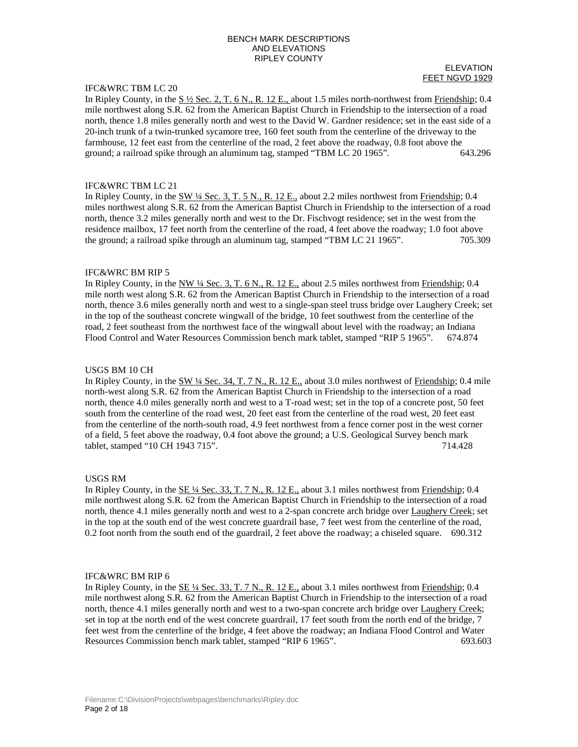# IFC&WRC TBM LC 20

#### ELEVATION FEET NGVD 1929

In Ripley County, in the  $S\frac{1}{2}$  Sec. 2, T. 6 N., R. 12 E., about 1.5 miles north-northwest from Friendship; 0.4 mile northwest along S.R. 62 from the American Baptist Church in Friendship to the intersection of a road north, thence 1.8 miles generally north and west to the David W. Gardner residence; set in the east side of a 20-inch trunk of a twin-trunked sycamore tree, 160 feet south from the centerline of the driveway to the farmhouse, 12 feet east from the centerline of the road, 2 feet above the roadway, 0.8 foot above the ground; a railroad spike through an aluminum tag, stamped "TBM LC 20 1965". 643.296

# IFC&WRC TBM LC 21

In Ripley County, in the SW ¼ Sec. 3, T. 5 N., R. 12 E., about 2.2 miles northwest from Friendship; 0.4 miles northwest along S.R. 62 from the American Baptist Church in Friendship to the intersection of a road north, thence 3.2 miles generally north and west to the Dr. Fischvogt residence; set in the west from the residence mailbox, 17 feet north from the centerline of the road, 4 feet above the roadway; 1.0 foot above the ground; a railroad spike through an aluminum tag, stamped "TBM LC 21 1965". 705.309

## IFC&WRC BM RIP 5

In Ripley County, in the NW ¼ Sec. 3, T. 6 N., R. 12 E., about 2.5 miles northwest from Friendship; 0.4 mile north west along S.R. 62 from the American Baptist Church in Friendship to the intersection of a road north, thence 3.6 miles generally north and west to a single-span steel truss bridge over Laughery Creek; set in the top of the southeast concrete wingwall of the bridge, 10 feet southwest from the centerline of the road, 2 feet southeast from the northwest face of the wingwall about level with the roadway; an Indiana Flood Control and Water Resources Commission bench mark tablet, stamped "RIP 5 1965". 674.874

# USGS BM 10 CH

In Ripley County, in the SW ¼ Sec. 34, T. 7 N., R. 12 E., about 3.0 miles northwest of Friendship; 0.4 mile north-west along S.R. 62 from the American Baptist Church in Friendship to the intersection of a road north, thence 4.0 miles generally north and west to a T-road west; set in the top of a concrete post, 50 feet south from the centerline of the road west, 20 feet east from the centerline of the road west, 20 feet east from the centerline of the north-south road, 4.9 feet northwest from a fence corner post in the west corner of a field, 5 feet above the roadway, 0.4 foot above the ground; a U.S. Geological Survey bench mark tablet, stamped "10 CH 1943 715". 714.428

## USGS RM

In Ripley County, in the <u>SE ¼ Sec. 33, T. 7 N., R. 12 E.</u>, about 3.1 miles northwest from Friendship; 0.4 mile northwest along S.R. 62 from the American Baptist Church in Friendship to the intersection of a road north, thence 4.1 miles generally north and west to a 2-span concrete arch bridge over Laughery Creek; set in the top at the south end of the west concrete guardrail base, 7 feet west from the centerline of the road, 0.2 foot north from the south end of the guardrail, 2 feet above the roadway; a chiseled square. 690.312

## IFC&WRC BM RIP 6

In Ripley County, in the  $\underline{\text{SE 4}}$  Sec. 33, T. 7 N., R. 12 E., about 3.1 miles northwest from Friendship; 0.4 mile northwest along S.R. 62 from the American Baptist Church in Friendship to the intersection of a road north, thence 4.1 miles generally north and west to a two-span concrete arch bridge over Laughery Creek; set in top at the north end of the west concrete guardrail, 17 feet south from the north end of the bridge, 7 feet west from the centerline of the bridge, 4 feet above the roadway; an Indiana Flood Control and Water Resources Commission bench mark tablet, stamped "RIP 6 1965". 693.603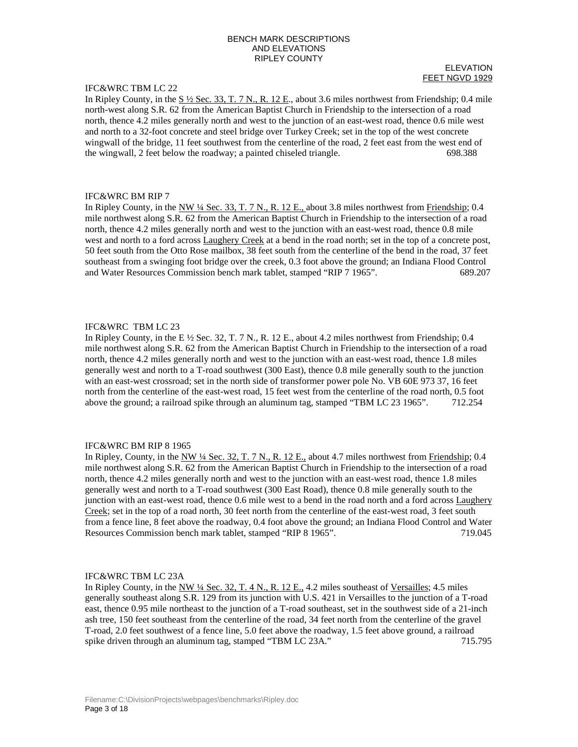# IFC&WRC TBM LC 22

ELEVATION FEET NGVD 1929

In Ripley County, in the  $S\frac{1}{2}$  Sec. 33, T. 7 N., R. 12 E., about 3.6 miles northwest from Friendship; 0.4 mile north-west along S.R. 62 from the American Baptist Church in Friendship to the intersection of a road north, thence 4.2 miles generally north and west to the junction of an east-west road, thence 0.6 mile west and north to a 32-foot concrete and steel bridge over Turkey Creek; set in the top of the west concrete wingwall of the bridge, 11 feet southwest from the centerline of the road, 2 feet east from the west end of the wingwall, 2 feet below the roadway; a painted chiseled triangle. 698.388

# IFC&WRC BM RIP 7

In Ripley County, in the  $\frac{NW \frac{1}{4} \text{ Sec. 33, T. 7 N.}}{R. 12 E.}$  about 3.8 miles northwest from Friendship; 0.4 mile northwest along S.R. 62 from the American Baptist Church in Friendship to the intersection of a road north, thence 4.2 miles generally north and west to the junction with an east-west road, thence 0.8 mile west and north to a ford across Laughery Creek at a bend in the road north; set in the top of a concrete post, 50 feet south from the Otto Rose mailbox, 38 feet south from the centerline of the bend in the road, 37 feet southeast from a swinging foot bridge over the creek, 0.3 foot above the ground; an Indiana Flood Control and Water Resources Commission bench mark tablet, stamped "RIP 7 1965". 689.207

# IFC&WRC TBM LC 23

In Ripley County, in the E  $\frac{1}{2}$  Sec. 32, T. 7 N., R. 12 E., about 4.2 miles northwest from Friendship; 0.4 mile northwest along S.R. 62 from the American Baptist Church in Friendship to the intersection of a road north, thence 4.2 miles generally north and west to the junction with an east-west road, thence 1.8 miles generally west and north to a T-road southwest (300 East), thence 0.8 mile generally south to the junction with an east-west crossroad; set in the north side of transformer power pole No. VB 60E 973 37, 16 feet north from the centerline of the east-west road, 15 feet west from the centerline of the road north, 0.5 foot above the ground; a railroad spike through an aluminum tag, stamped "TBM LC 23 1965". 712.254

## IFC&WRC BM RIP 8 1965

In Ripley, County, in the NW  $\frac{1}{4}$  Sec. 32, T. 7 N., R. 12 E., about 4.7 miles northwest from Friendship; 0.4 mile northwest along S.R. 62 from the American Baptist Church in Friendship to the intersection of a road north, thence 4.2 miles generally north and west to the junction with an east-west road, thence 1.8 miles generally west and north to a T-road southwest (300 East Road), thence 0.8 mile generally south to the junction with an east-west road, thence 0.6 mile west to a bend in the road north and a ford across Laughery Creek; set in the top of a road north, 30 feet north from the centerline of the east-west road, 3 feet south from a fence line, 8 feet above the roadway, 0.4 foot above the ground; an Indiana Flood Control and Water Resources Commission bench mark tablet, stamped "RIP 8 1965". 719.045

# IFC&WRC TBM LC 23A

In Ripley County, in the NW ¼ Sec. 32, T. 4 N., R. 12 E., 4.2 miles southeast of Versailles; 4.5 miles generally southeast along S.R. 129 from its junction with U.S. 421 in Versailles to the junction of a T-road east, thence 0.95 mile northeast to the junction of a T-road southeast, set in the southwest side of a 21-inch ash tree, 150 feet southeast from the centerline of the road, 34 feet north from the centerline of the gravel T-road, 2.0 feet southwest of a fence line, 5.0 feet above the roadway, 1.5 feet above ground, a railroad spike driven through an aluminum tag, stamped "TBM LC 23A." 715.795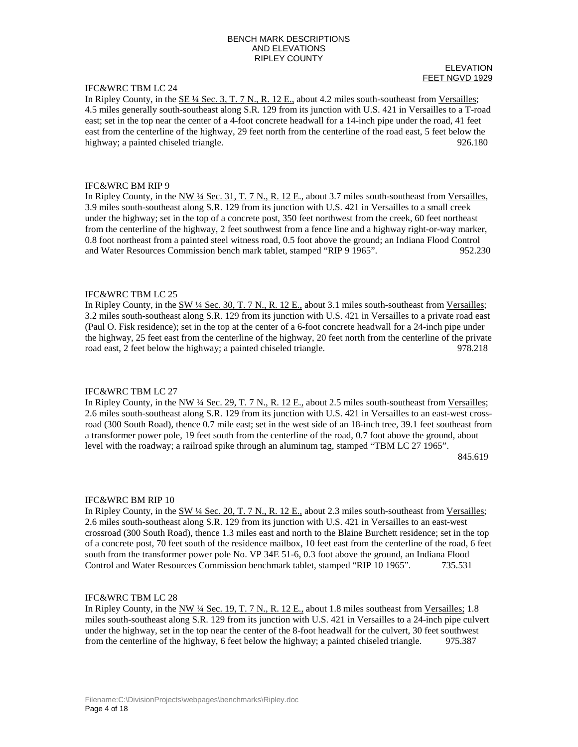# IFC&WRC TBM LC 24

#### ELEVATION FEET NGVD 1929

In Ripley County, in the  $SE\frac{1}{4}$  Sec. 3, T. 7 N., R. 12 E., about 4.2 miles south-southeast from Versailles; 4.5 miles generally south-southeast along S.R. 129 from its junction with U.S. 421 in Versailles to a T-road east; set in the top near the center of a 4-foot concrete headwall for a 14-inch pipe under the road, 41 feet east from the centerline of the highway, 29 feet north from the centerline of the road east, 5 feet below the highway; a painted chiseled triangle. 926.180

## IFC&WRC BM RIP 9

In Ripley County, in the NW ¼ Sec. 31, T. 7 N., R. 12 E., about 3.7 miles south-southeast from Versailles, 3.9 miles south-southeast along S.R. 129 from its junction with U.S. 421 in Versailles to a small creek under the highway; set in the top of a concrete post, 350 feet northwest from the creek, 60 feet northeast from the centerline of the highway, 2 feet southwest from a fence line and a highway right-or-way marker, 0.8 foot northeast from a painted steel witness road, 0.5 foot above the ground; an Indiana Flood Control and Water Resources Commission bench mark tablet, stamped "RIP 9 1965". 952.230

## IFC&WRC TBM LC 25

In Ripley County, in the SW 1/4 Sec. 30, T. 7 N., R. 12 E., about 3.1 miles south-southeast from Versailles; 3.2 miles south-southeast along S.R. 129 from its junction with U.S. 421 in Versailles to a private road east (Paul O. Fisk residence); set in the top at the center of a 6-foot concrete headwall for a 24-inch pipe under the highway, 25 feet east from the centerline of the highway, 20 feet north from the centerline of the private road east, 2 feet below the highway; a painted chiseled triangle. 978.218

## IFC&WRC TBM LC 27

In Ripley County, in the NW ¼ Sec. 29, T. 7 N., R. 12 E., about 2.5 miles south-southeast from Versailles; 2.6 miles south-southeast along S.R. 129 from its junction with U.S. 421 in Versailles to an east-west crossroad (300 South Road), thence 0.7 mile east; set in the west side of an 18-inch tree, 39.1 feet southeast from a transformer power pole, 19 feet south from the centerline of the road, 0.7 foot above the ground, about level with the roadway; a railroad spike through an aluminum tag, stamped "TBM LC 27 1965". 845.619

## IFC&WRC BM RIP 10

In Ripley County, in the SW 1/4 Sec. 20, T. 7 N., R. 12 E., about 2.3 miles south-southeast from Versailles; 2.6 miles south-southeast along S.R. 129 from its junction with U.S. 421 in Versailles to an east-west crossroad (300 South Road), thence 1.3 miles east and north to the Blaine Burchett residence; set in the top of a concrete post, 70 feet south of the residence mailbox, 10 feet east from the centerline of the road, 6 feet south from the transformer power pole No. VP 34E 51-6, 0.3 foot above the ground, an Indiana Flood Control and Water Resources Commission benchmark tablet, stamped "RIP 10 1965". 735.531

## IFC&WRC TBM LC 28

In Ripley County, in the NW ¼ Sec. 19, T. 7 N., R. 12 E., about 1.8 miles southeast from Versailles; 1.8 miles south-southeast along S.R. 129 from its junction with U.S. 421 in Versailles to a 24-inch pipe culvert under the highway, set in the top near the center of the 8-foot headwall for the culvert, 30 feet southwest from the centerline of the highway, 6 feet below the highway; a painted chiseled triangle. 975.387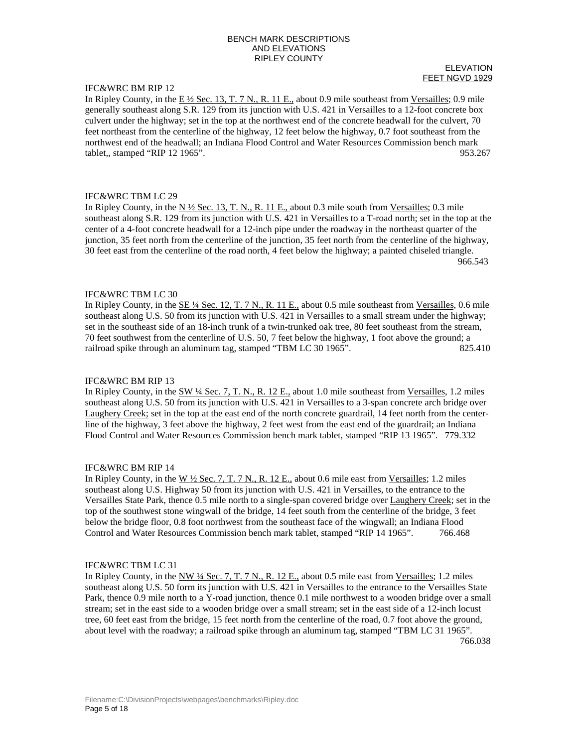# IFC&WRC BM RIP 12

ELEVATION FEET NGVD 1929

In Ripley County, in the  $E\frac{1}{2}$  Sec. 13, T. 7 N., R. 11 E., about 0.9 mile southeast from Versailles; 0.9 mile generally southeast along S.R. 129 from its junction with U.S. 421 in Versailles to a 12-foot concrete box culvert under the highway; set in the top at the northwest end of the concrete headwall for the culvert, 70 feet northeast from the centerline of the highway, 12 feet below the highway, 0.7 foot southeast from the northwest end of the headwall; an Indiana Flood Control and Water Resources Commission bench mark tablet,, stamped "RIP 12 1965". 953.267

## IFC&WRC TBM LC 29

In Ripley County, in the  $N \frac{1}{2}$  Sec. 13, T. N., R. 11 E., about 0.3 mile south from Versailles; 0.3 mile southeast along S.R. 129 from its junction with U.S. 421 in Versailles to a T-road north; set in the top at the center of a 4-foot concrete headwall for a 12-inch pipe under the roadway in the northeast quarter of the junction, 35 feet north from the centerline of the junction, 35 feet north from the centerline of the highway, 30 feet east from the centerline of the road north, 4 feet below the highway; a painted chiseled triangle. 966.543

## IFC&WRC TBM LC 30

In Ripley County, in the SE 1/4 Sec. 12, T. 7 N., R. 11 E., about 0.5 mile southeast from Versailles, 0.6 mile southeast along U.S. 50 from its junction with U.S. 421 in Versailles to a small stream under the highway; set in the southeast side of an 18-inch trunk of a twin-trunked oak tree, 80 feet southeast from the stream, 70 feet southwest from the centerline of U.S. 50, 7 feet below the highway, 1 foot above the ground; a railroad spike through an aluminum tag, stamped "TBM LC 30 1965". 825.410

## IFC&WRC BM RIP 13

In Ripley County, in the SW ¼ Sec. 7, T. N., R. 12 E., about 1.0 mile southeast from Versailles, 1.2 miles southeast along U.S. 50 from its junction with U.S. 421 in Versailles to a 3-span concrete arch bridge over Laughery Creek; set in the top at the east end of the north concrete guardrail, 14 feet north from the centerline of the highway, 3 feet above the highway, 2 feet west from the east end of the guardrail; an Indiana Flood Control and Water Resources Commission bench mark tablet, stamped "RIP 13 1965". 779.332

## IFC&WRC BM RIP 14

In Ripley County, in the  $W \frac{1}{2}$  Sec. 7, T. 7 N., R. 12 E., about 0.6 mile east from Versailles; 1.2 miles southeast along U.S. Highway 50 from its junction with U.S. 421 in Versailles, to the entrance to the Versailles State Park, thence 0.5 mile north to a single-span covered bridge over Laughery Creek; set in the top of the southwest stone wingwall of the bridge, 14 feet south from the centerline of the bridge, 3 feet below the bridge floor, 0.8 foot northwest from the southeast face of the wingwall; an Indiana Flood Control and Water Resources Commission bench mark tablet, stamped "RIP 14 1965". 766.468

## IFC&WRC TBM LC 31

In Ripley County, in the NW ¼ Sec. 7, T. 7 N., R. 12 E., about 0.5 mile east from Versailles; 1.2 miles southeast along U.S. 50 form its junction with U.S. 421 in Versailles to the entrance to the Versailles State Park, thence 0.9 mile north to a Y-road junction, thence 0.1 mile northwest to a wooden bridge over a small stream; set in the east side to a wooden bridge over a small stream; set in the east side of a 12-inch locust tree, 60 feet east from the bridge, 15 feet north from the centerline of the road, 0.7 foot above the ground, about level with the roadway; a railroad spike through an aluminum tag, stamped "TBM LC 31 1965". 766.038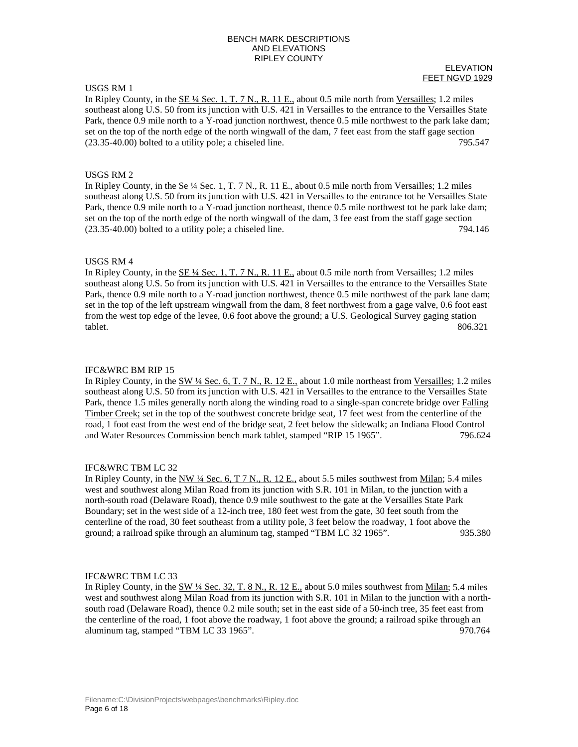# USGS RM 1

#### ELEVATION FEET NGVD 1929

In Ripley County, in the  $SE\frac{1}{4}$  Sec. 1, T. 7 N., R. 11 E., about 0.5 mile north from Versailles; 1.2 miles southeast along U.S. 50 from its junction with U.S. 421 in Versailles to the entrance to the Versailles State Park, thence 0.9 mile north to a Y-road junction northwest, thence 0.5 mile northwest to the park lake dam; set on the top of the north edge of the north wingwall of the dam, 7 feet east from the staff gage section (23.35-40.00) bolted to a utility pole; a chiseled line. 795.547

### USGS RM 2

In Ripley County, in the  $\underline{\mathbf{Se}}$  1/4 Sec. 1, T. 7 N., R. 11 E., about 0.5 mile north from Versailles; 1.2 miles southeast along U.S. 50 from its junction with U.S. 421 in Versailles to the entrance tot he Versailles State Park, thence 0.9 mile north to a Y-road junction northeast, thence 0.5 mile northwest tot he park lake dam; set on the top of the north edge of the north wingwall of the dam, 3 fee east from the staff gage section (23.35-40.00) bolted to a utility pole; a chiseled line. 794.146

#### USGS RM 4

In Ripley County, in the SE 1/4 Sec. 1, T. 7 N., R. 11 E., about 0.5 mile north from Versailles; 1.2 miles southeast along U.S. 5o from its junction with U.S. 421 in Versailles to the entrance to the Versailles State Park, thence 0.9 mile north to a Y-road junction northwest, thence 0.5 mile northwest of the park lane dam; set in the top of the left upstream wingwall from the dam, 8 feet northwest from a gage valve, 0.6 foot east from the west top edge of the levee, 0.6 foot above the ground; a U.S. Geological Survey gaging station tablet. 806.321

#### IFC&WRC BM RIP 15

In Ripley County, in the SW ¼ Sec. 6, T. 7 N., R. 12 E., about 1.0 mile northeast from Versailles; 1.2 miles southeast along U.S. 50 from its junction with U.S. 421 in Versailles to the entrance to the Versailles State Park, thence 1.5 miles generally north along the winding road to a single-span concrete bridge over Falling Timber Creek; set in the top of the southwest concrete bridge seat, 17 feet west from the centerline of the road, 1 foot east from the west end of the bridge seat, 2 feet below the sidewalk; an Indiana Flood Control and Water Resources Commission bench mark tablet, stamped "RIP 15 1965". 796.624

#### IFC&WRC TBM LC 32

In Ripley County, in the NW  $\frac{1}{4}$  Sec. 6, T 7 N., R. 12 E., about 5.5 miles southwest from Milan; 5.4 miles west and southwest along Milan Road from its junction with S.R. 101 in Milan, to the junction with a north-south road (Delaware Road), thence 0.9 mile southwest to the gate at the Versailles State Park Boundary; set in the west side of a 12-inch tree, 180 feet west from the gate, 30 feet south from the centerline of the road, 30 feet southeast from a utility pole, 3 feet below the roadway, 1 foot above the ground; a railroad spike through an aluminum tag, stamped "TBM LC 32 1965". 935.380

## IFC&WRC TBM LC 33

In Ripley County, in the SW ¼ Sec. 32, T. 8 N., R. 12 E., about 5.0 miles southwest from Milan; 5.4 miles west and southwest along Milan Road from its junction with S.R. 101 in Milan to the junction with a northsouth road (Delaware Road), thence 0.2 mile south; set in the east side of a 50-inch tree, 35 feet east from the centerline of the road, 1 foot above the roadway, 1 foot above the ground; a railroad spike through an aluminum tag, stamped "TBM LC 33 1965". 970.764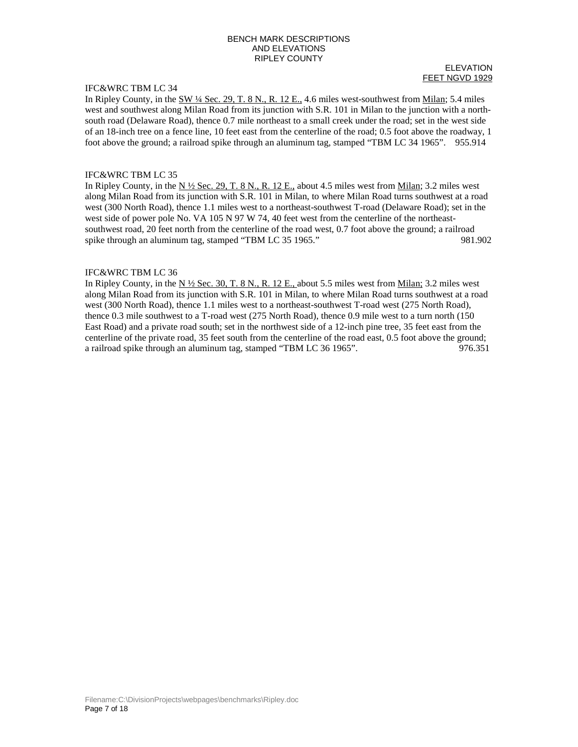# IFC&WRC TBM LC 34

#### ELEVATION FEET NGVD 1929

In Ripley County, in the SW ¼ Sec. 29, T. 8 N., R. 12 E., 4.6 miles west-southwest from Milan; 5.4 miles west and southwest along Milan Road from its junction with S.R. 101 in Milan to the junction with a northsouth road (Delaware Road), thence 0.7 mile northeast to a small creek under the road; set in the west side of an 18-inch tree on a fence line, 10 feet east from the centerline of the road; 0.5 foot above the roadway, 1 foot above the ground; a railroad spike through an aluminum tag, stamped "TBM LC 34 1965". 955.914

### IFC&WRC TBM LC 35

In Ripley County, in the  $N \frac{1}{2}$  Sec. 29, T. 8 N., R. 12 E., about 4.5 miles west from Milan; 3.2 miles west along Milan Road from its junction with S.R. 101 in Milan, to where Milan Road turns southwest at a road west (300 North Road), thence 1.1 miles west to a northeast-southwest T-road (Delaware Road); set in the west side of power pole No. VA 105 N 97 W 74, 40 feet west from the centerline of the northeastsouthwest road, 20 feet north from the centerline of the road west, 0.7 foot above the ground; a railroad spike through an aluminum tag, stamped "TBM LC 35 1965." 981.902

### IFC&WRC TBM LC 36

In Ripley County, in the N ½ Sec. 30, T. 8 N., R. 12 E., about 5.5 miles west from Milan; 3.2 miles west along Milan Road from its junction with S.R. 101 in Milan, to where Milan Road turns southwest at a road west (300 North Road), thence 1.1 miles west to a northeast-southwest T-road west (275 North Road), thence 0.3 mile southwest to a T-road west (275 North Road), thence 0.9 mile west to a turn north (150 East Road) and a private road south; set in the northwest side of a 12-inch pine tree, 35 feet east from the centerline of the private road, 35 feet south from the centerline of the road east, 0.5 foot above the ground; a railroad spike through an aluminum tag, stamped "TBM LC 36 1965". 976.351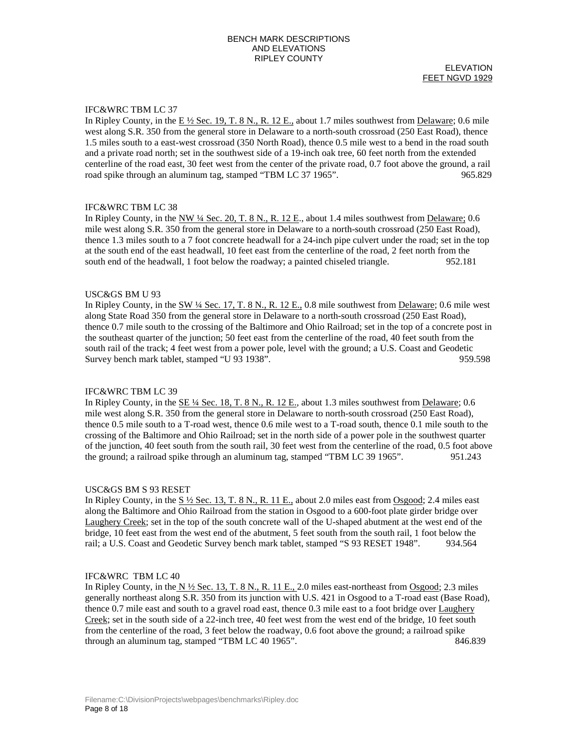ELEVATION FEET NGVD 1929

# IFC&WRC TBM LC 37

In Ripley County, in the  $E\frac{1}{2}$  Sec. 19, T. 8 N., R. 12 E., about 1.7 miles southwest from Delaware; 0.6 mile west along S.R. 350 from the general store in Delaware to a north-south crossroad (250 East Road), thence 1.5 miles south to a east-west crossroad (350 North Road), thence 0.5 mile west to a bend in the road south and a private road north; set in the southwest side of a 19-inch oak tree, 60 feet north from the extended centerline of the road east, 30 feet west from the center of the private road, 0.7 foot above the ground, a rail road spike through an aluminum tag, stamped "TBM LC 37 1965". 965.829

## IFC&WRC TBM LC 38

In Ripley County, in the NW  $\frac{1}{4}$  Sec. 20, T. 8 N., R. 12 E., about 1.4 miles southwest from Delaware; 0.6 mile west along S.R. 350 from the general store in Delaware to a north-south crossroad (250 East Road), thence 1.3 miles south to a 7 foot concrete headwall for a 24-inch pipe culvert under the road; set in the top at the south end of the east headwall, 10 feet east from the centerline of the road, 2 feet north from the south end of the headwall, 1 foot below the roadway; a painted chiseled triangle. 952.181

#### USC&GS BM U 93

In Ripley County, in the SW 1/4 Sec. 17, T. 8 N., R. 12 E., 0.8 mile southwest from Delaware; 0.6 mile west along State Road 350 from the general store in Delaware to a north-south crossroad (250 East Road), thence 0.7 mile south to the crossing of the Baltimore and Ohio Railroad; set in the top of a concrete post in the southeast quarter of the junction; 50 feet east from the centerline of the road, 40 feet south from the south rail of the track; 4 feet west from a power pole, level with the ground; a U.S. Coast and Geodetic Survey bench mark tablet, stamped "U 93 1938". 959.598

## IFC&WRC TBM LC 39

In Ripley County, in the SE ¼ Sec. 18, T. 8 N., R. 12 E., about 1.3 miles southwest from Delaware; 0.6 mile west along S.R. 350 from the general store in Delaware to north-south crossroad (250 East Road), thence 0.5 mile south to a T-road west, thence 0.6 mile west to a T-road south, thence 0.1 mile south to the crossing of the Baltimore and Ohio Railroad; set in the north side of a power pole in the southwest quarter of the junction, 40 feet south from the south rail, 30 feet west from the centerline of the road, 0.5 foot above the ground; a railroad spike through an aluminum tag, stamped "TBM LC 39 1965". 951.243

#### USC&GS BM S 93 RESET

In Ripley County, in the S  $\frac{1}{2}$  Sec. 13, T. 8 N., R. 11 E., about 2.0 miles east from Osgood; 2.4 miles east along the Baltimore and Ohio Railroad from the station in Osgood to a 600-foot plate girder bridge over Laughery Creek; set in the top of the south concrete wall of the U-shaped abutment at the west end of the bridge, 10 feet east from the west end of the abutment, 5 feet south from the south rail, 1 foot below the rail; a U.S. Coast and Geodetic Survey bench mark tablet, stamped "S 93 RESET 1948". 934.564

# IFC&WRC TBM LC 40

In Ripley County, in the  $N \frac{1}{2}$  Sec. 13, T. 8 N., R. 11 E., 2.0 miles east-northeast from Osgood; 2.3 miles generally northeast along S.R. 350 from its junction with U.S. 421 in Osgood to a T-road east (Base Road), thence 0.7 mile east and south to a gravel road east, thence 0.3 mile east to a foot bridge over Laughery Creek; set in the south side of a 22-inch tree, 40 feet west from the west end of the bridge, 10 feet south from the centerline of the road, 3 feet below the roadway, 0.6 foot above the ground; a railroad spike through an aluminum tag, stamped "TBM LC 40 1965". 846.839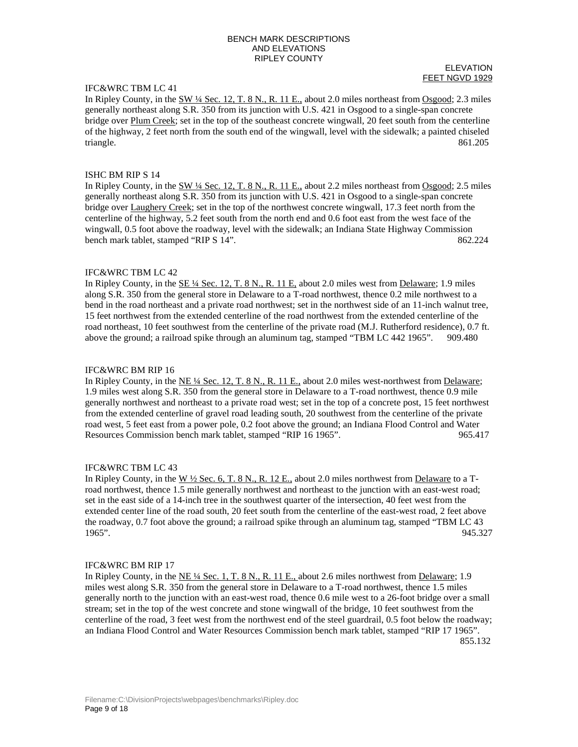# IFC&WRC TBM LC 41

ELEVATION FEET NGVD 1929

In Ripley County, in the SW ¼ Sec. 12, T. 8 N., R. 11 E., about 2.0 miles northeast from Osgood; 2.3 miles generally northeast along S.R. 350 from its junction with U.S. 421 in Osgood to a single-span concrete bridge over Plum Creek; set in the top of the southeast concrete wingwall, 20 feet south from the centerline of the highway, 2 feet north from the south end of the wingwall, level with the sidewalk; a painted chiseled triangle. 861.205

### ISHC BM RIP S 14

In Ripley County, in the  $\underline{SW\ \text{4}$  Sec. 12, T. 8 N., R. 11 E., about 2.2 miles northeast from  $\underline{Osgood}$ ; 2.5 miles generally northeast along S.R. 350 from its junction with U.S. 421 in Osgood to a single-span concrete bridge over Laughery Creek; set in the top of the northwest concrete wingwall, 17.3 feet north from the centerline of the highway, 5.2 feet south from the north end and 0.6 foot east from the west face of the wingwall, 0.5 foot above the roadway, level with the sidewalk; an Indiana State Highway Commission bench mark tablet, stamped "RIP S 14".  $862.224$ 

#### IFC&WRC TBM LC 42

In Ripley County, in the SE ¼ Sec. 12, T. 8 N., R. 11 E, about 2.0 miles west from Delaware; 1.9 miles along S.R. 350 from the general store in Delaware to a T-road northwest, thence 0.2 mile northwest to a bend in the road northeast and a private road northwest; set in the northwest side of an 11-inch walnut tree, 15 feet northwest from the extended centerline of the road northwest from the extended centerline of the road northeast, 10 feet southwest from the centerline of the private road (M.J. Rutherford residence), 0.7 ft. above the ground; a railroad spike through an aluminum tag, stamped "TBM LC 442 1965". 909.480

#### IFC&WRC BM RIP 16

In Ripley County, in the NE ¼ Sec. 12, T. 8 N., R. 11 E., about 2.0 miles west-northwest from Delaware; 1.9 miles west along S.R. 350 from the general store in Delaware to a T-road northwest, thence 0.9 mile generally northwest and northeast to a private road west; set in the top of a concrete post, 15 feet northwest from the extended centerline of gravel road leading south, 20 southwest from the centerline of the private road west, 5 feet east from a power pole, 0.2 foot above the ground; an Indiana Flood Control and Water Resources Commission bench mark tablet, stamped "RIP 16 1965". 965.417

#### IFC&WRC TBM LC 43

In Ripley County, in the W  $\frac{1}{2}$  Sec. 6, T. 8 N., R. 12 E., about 2.0 miles northwest from Delaware to a Troad northwest, thence 1.5 mile generally northwest and northeast to the junction with an east-west road; set in the east side of a 14-inch tree in the southwest quarter of the intersection, 40 feet west from the extended center line of the road south, 20 feet south from the centerline of the east-west road, 2 feet above the roadway, 0.7 foot above the ground; a railroad spike through an aluminum tag, stamped "TBM LC 43 1965". 945.327

#### IFC&WRC BM RIP 17

In Ripley County, in the NE ¼ Sec. 1, T. 8 N., R. 11 E., about 2.6 miles northwest from Delaware; 1.9 miles west along S.R. 350 from the general store in Delaware to a T-road northwest, thence 1.5 miles generally north to the junction with an east-west road, thence 0.6 mile west to a 26-foot bridge over a small stream; set in the top of the west concrete and stone wingwall of the bridge, 10 feet southwest from the centerline of the road, 3 feet west from the northwest end of the steel guardrail, 0.5 foot below the roadway; an Indiana Flood Control and Water Resources Commission bench mark tablet, stamped "RIP 17 1965". 855.132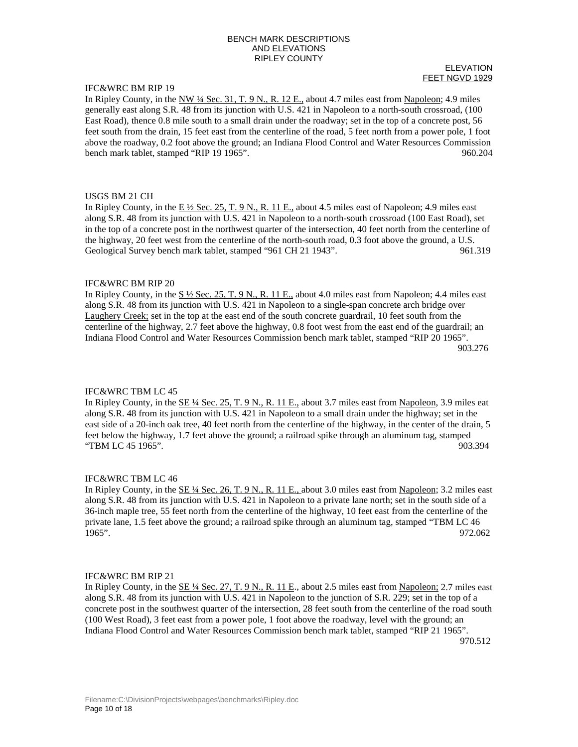# IFC&WRC BM RIP 19

#### ELEVATION FEET NGVD 1929

In Ripley County, in the NW  $\frac{1}{4}$  Sec. 31, T. 9 N., R. 12 E., about 4.7 miles east from Napoleon; 4.9 miles generally east along S.R. 48 from its junction with U.S. 421 in Napoleon to a north-south crossroad, (100 East Road), thence 0.8 mile south to a small drain under the roadway; set in the top of a concrete post, 56 feet south from the drain, 15 feet east from the centerline of the road, 5 feet north from a power pole, 1 foot above the roadway, 0.2 foot above the ground; an Indiana Flood Control and Water Resources Commission bench mark tablet, stamped "RIP 19 1965". 960.204

## USGS BM 21 CH

In Ripley County, in the  $E\frac{1}{2}$  Sec. 25, T. 9 N., R. 11 E., about 4.5 miles east of Napoleon; 4.9 miles east along S.R. 48 from its junction with U.S. 421 in Napoleon to a north-south crossroad (100 East Road), set in the top of a concrete post in the northwest quarter of the intersection, 40 feet north from the centerline of the highway, 20 feet west from the centerline of the north-south road, 0.3 foot above the ground, a U.S. Geological Survey bench mark tablet, stamped "961 CH 21 1943". 961.319

## IFC&WRC BM RIP 20

In Ripley County, in the  $S\frac{1}{2}$  Sec. 25, T. 9 N., R. 11 E., about 4.0 miles east from Napoleon; 4.4 miles east along S.R. 48 from its junction with U.S. 421 in Napoleon to a single-span concrete arch bridge over Laughery Creek; set in the top at the east end of the south concrete guardrail, 10 feet south from the centerline of the highway, 2.7 feet above the highway, 0.8 foot west from the east end of the guardrail; an Indiana Flood Control and Water Resources Commission bench mark tablet, stamped "RIP 20 1965". 903.276

## IFC&WRC TBM LC 45

In Ripley County, in the SE ¼ Sec. 25, T. 9 N., R. 11 E., about 3.7 miles east from Napoleon, 3.9 miles eat along S.R. 48 from its junction with U.S. 421 in Napoleon to a small drain under the highway; set in the east side of a 20-inch oak tree, 40 feet north from the centerline of the highway, in the center of the drain, 5 feet below the highway, 1.7 feet above the ground; a railroad spike through an aluminum tag, stamped "TBM LC 45 1965". 903.394

## IFC&WRC TBM LC 46

In Ripley County, in the SE ¼ Sec. 26, T. 9 N., R. 11 E., about 3.0 miles east from Napoleon; 3.2 miles east along S.R. 48 from its junction with U.S. 421 in Napoleon to a private lane north; set in the south side of a 36-inch maple tree, 55 feet north from the centerline of the highway, 10 feet east from the centerline of the private lane, 1.5 feet above the ground; a railroad spike through an aluminum tag, stamped "TBM LC 46 1965". 972.062

# IFC&WRC BM RIP 21

In Ripley County, in the SE ¼ Sec. 27, T. 9 N., R. 11 E., about 2.5 miles east from Napoleon; 2.7 miles east along S.R. 48 from its junction with U.S. 421 in Napoleon to the junction of S.R. 229; set in the top of a concrete post in the southwest quarter of the intersection, 28 feet south from the centerline of the road south (100 West Road), 3 feet east from a power pole, 1 foot above the roadway, level with the ground; an Indiana Flood Control and Water Resources Commission bench mark tablet, stamped "RIP 21 1965". 970.512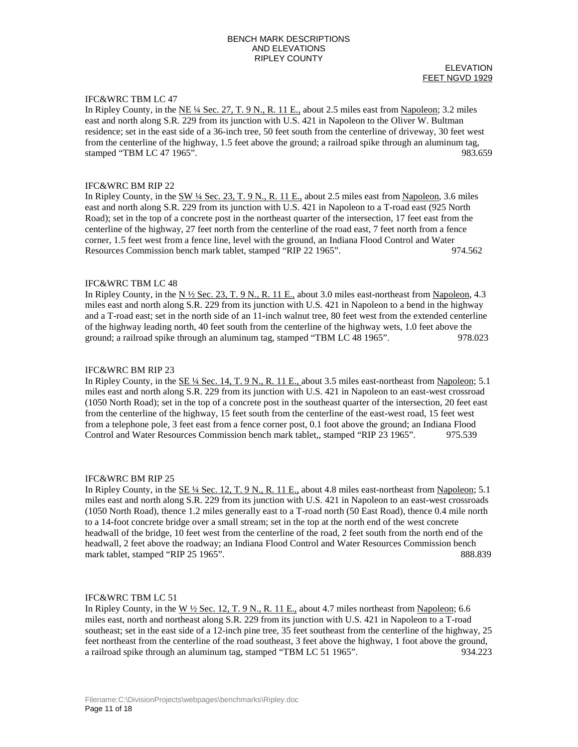ELEVATION FEET NGVD 1929

# IFC&WRC TBM LC 47

In Ripley County, in the NE ¼ Sec. 27, T. 9 N., R. 11 E., about 2.5 miles east from Napoleon; 3.2 miles east and north along S.R. 229 from its junction with U.S. 421 in Napoleon to the Oliver W. Bultman residence; set in the east side of a 36-inch tree, 50 feet south from the centerline of driveway, 30 feet west from the centerline of the highway, 1.5 feet above the ground; a railroad spike through an aluminum tag, stamped "TBM LC 47 1965". 983.659

## IFC&WRC BM RIP 22

In Ripley County, in the SW ¼ Sec. 23, T. 9 N., R. 11 E., about 2.5 miles east from Napoleon, 3.6 miles east and north along S.R. 229 from its junction with U.S. 421 in Napoleon to a T-road east (925 North Road); set in the top of a concrete post in the northeast quarter of the intersection, 17 feet east from the centerline of the highway, 27 feet north from the centerline of the road east, 7 feet north from a fence corner, 1.5 feet west from a fence line, level with the ground, an Indiana Flood Control and Water Resources Commission bench mark tablet, stamped "RIP 22 1965". 974.562

#### IFC&WRC TBM LC 48

In Ripley County, in the N  $\frac{1}{2}$  Sec. 23, T. 9 N., R. 11 E., about 3.0 miles east-northeast from Napoleon, 4.3 miles east and north along S.R. 229 from its junction with U.S. 421 in Napoleon to a bend in the highway and a T-road east; set in the north side of an 11-inch walnut tree, 80 feet west from the extended centerline of the highway leading north, 40 feet south from the centerline of the highway wets, 1.0 feet above the ground; a railroad spike through an aluminum tag, stamped "TBM LC 48 1965". 978.023

## IFC&WRC BM RIP 23

In Ripley County, in the SE ¼ Sec. 14, T. 9 N., R. 11 E., about 3.5 miles east-northeast from Napoleon; 5.1 miles east and north along S.R. 229 from its junction with U.S. 421 in Napoleon to an east-west crossroad (1050 North Road); set in the top of a concrete post in the southeast quarter of the intersection, 20 feet east from the centerline of the highway, 15 feet south from the centerline of the east-west road, 15 feet west from a telephone pole, 3 feet east from a fence corner post, 0.1 foot above the ground; an Indiana Flood Control and Water Resources Commission bench mark tablet,, stamped "RIP 23 1965". 975.539

#### IFC&WRC BM RIP 25

In Ripley County, in the <u>SE ¼ Sec. 12, T. 9 N., R. 11 E.</u>, about 4.8 miles east-northeast from Napoleon; 5.1 miles east and north along S.R. 229 from its junction with U.S. 421 in Napoleon to an east-west crossroads (1050 North Road), thence 1.2 miles generally east to a T-road north (50 East Road), thence 0.4 mile north to a 14-foot concrete bridge over a small stream; set in the top at the north end of the west concrete headwall of the bridge, 10 feet west from the centerline of the road, 2 feet south from the north end of the headwall, 2 feet above the roadway; an Indiana Flood Control and Water Resources Commission bench mark tablet, stamped "RIP 25 1965". 888.839

#### IFC&WRC TBM LC 51

In Ripley County, in the  $W \frac{1}{2}$  Sec. 12, T. 9 N., R. 11 E., about 4.7 miles northeast from Napoleon; 6.6 miles east, north and northeast along S.R. 229 from its junction with U.S. 421 in Napoleon to a T-road southeast; set in the east side of a 12-inch pine tree, 35 feet southeast from the centerline of the highway, 25 feet northeast from the centerline of the road southeast, 3 feet above the highway, 1 foot above the ground, a railroad spike through an aluminum tag, stamped "TBM LC 51 1965". 934.223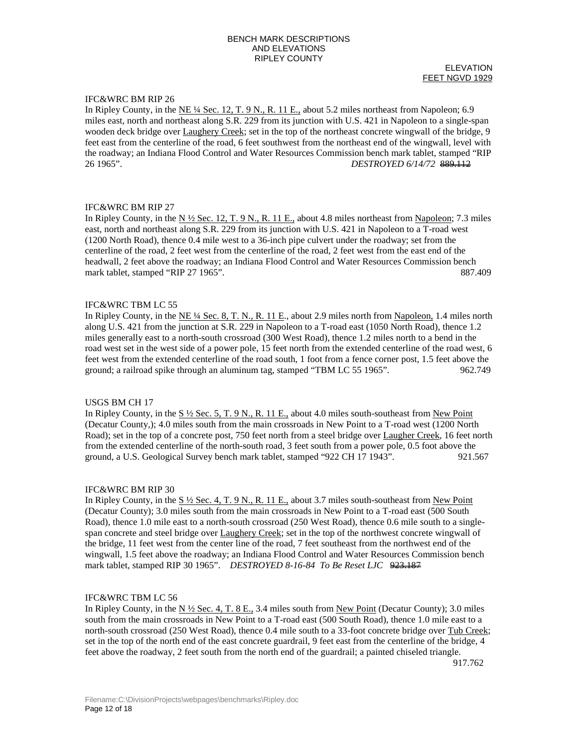#### ELEVATION FEET NGVD 1929

## IFC&WRC BM RIP 26

In Ripley County, in the NE ¼ Sec. 12, T. 9 N., R. 11 E., about 5.2 miles northeast from Napoleon; 6.9 miles east, north and northeast along S.R. 229 from its junction with U.S. 421 in Napoleon to a single-span wooden deck bridge over Laughery Creek; set in the top of the northeast concrete wingwall of the bridge, 9 feet east from the centerline of the road, 6 feet southwest from the northeast end of the wingwall, level with the roadway; an Indiana Flood Control and Water Resources Commission bench mark tablet, stamped "RIP 26 1965". *DESTROYED 6/14/72* 889.112

## IFC&WRC BM RIP 27

In Ripley County, in the  $N \frac{1}{2}$  Sec. 12, T. 9 N., R. 11 E., about 4.8 miles northeast from Napoleon; 7.3 miles east, north and northeast along S.R. 229 from its junction with U.S. 421 in Napoleon to a T-road west (1200 North Road), thence 0.4 mile west to a 36-inch pipe culvert under the roadway; set from the centerline of the road, 2 feet west from the centerline of the road, 2 feet west from the east end of the headwall, 2 feet above the roadway; an Indiana Flood Control and Water Resources Commission bench mark tablet, stamped "RIP 27 1965". 887.409

## IFC&WRC TBM LC 55

In Ripley County, in the NE ¼ Sec. 8, T. N., R. 11 E., about 2.9 miles north from Napoleon, 1.4 miles north along U.S. 421 from the junction at S.R. 229 in Napoleon to a T-road east (1050 North Road), thence 1.2 miles generally east to a north-south crossroad (300 West Road), thence 1.2 miles north to a bend in the road west set in the west side of a power pole, 15 feet north from the extended centerline of the road west, 6 feet west from the extended centerline of the road south, 1 foot from a fence corner post, 1.5 feet above the ground; a railroad spike through an aluminum tag, stamped "TBM LC 55 1965". 962.749

## USGS BM CH 17

In Ripley County, in the  $S \frac{1}{2}$  Sec. 5, T. 9 N., R. 11 E., about 4.0 miles south-southeast from New Point (Decatur County,); 4.0 miles south from the main crossroads in New Point to a T-road west (1200 North Road); set in the top of a concrete post, 750 feet north from a steel bridge over Laugher Creek, 16 feet north from the extended centerline of the north-south road, 3 feet south from a power pole, 0.5 foot above the ground, a U.S. Geological Survey bench mark tablet, stamped "922 CH 17 1943". 921.567

## IFC&WRC BM RIP 30

In Ripley County, in the S ½ Sec. 4, T. 9 N., R. 11 E., about 3.7 miles south-southeast from New Point (Decatur County); 3.0 miles south from the main crossroads in New Point to a T-road east (500 South Road), thence 1.0 mile east to a north-south crossroad (250 West Road), thence 0.6 mile south to a singlespan concrete and steel bridge over Laughery Creek; set in the top of the northwest concrete wingwall of the bridge, 11 feet west from the center line of the road, 7 feet southeast from the northwest end of the wingwall, 1.5 feet above the roadway; an Indiana Flood Control and Water Resources Commission bench mark tablet, stamped RIP 30 1965". *DESTROYED 8-16-84 To Be Reset LJC* 923.187

## IFC&WRC TBM LC 56

In Ripley County, in the  $N \frac{1}{2}$  Sec. 4, T. 8 E., 3.4 miles south from New Point (Decatur County); 3.0 miles south from the main crossroads in New Point to a T-road east (500 South Road), thence 1.0 mile east to a north-south crossroad (250 West Road), thence 0.4 mile south to a 33-foot concrete bridge over Tub Creek; set in the top of the north end of the east concrete guardrail, 9 feet east from the centerline of the bridge, 4 feet above the roadway, 2 feet south from the north end of the guardrail; a painted chiseled triangle.

917.762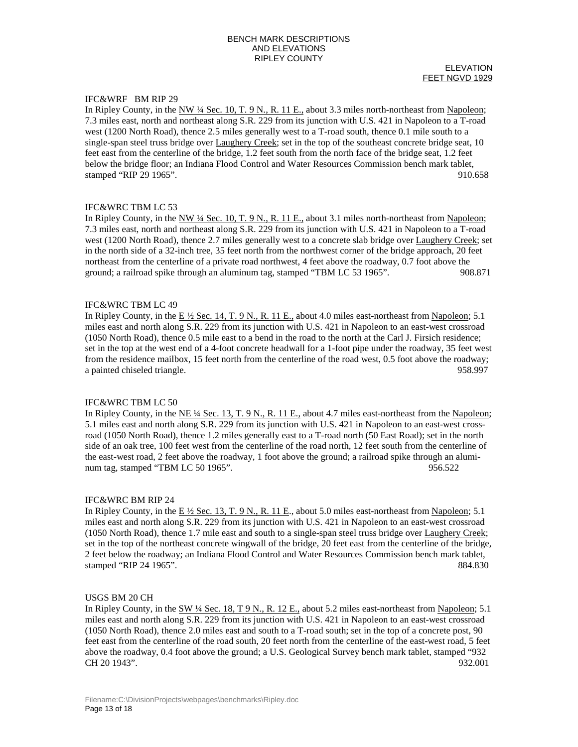ELEVATION FEET NGVD 1929

# IFC&WRF BM RIP 29

In Ripley County, in the  $\frac{NW \frac{1}{4} \text{ Sec. 10, T. 9 N., R. 11 E.,}}{N}$  about 3.3 miles north-northeast from Napoleon; 7.3 miles east, north and northeast along S.R. 229 from its junction with U.S. 421 in Napoleon to a T-road west (1200 North Road), thence 2.5 miles generally west to a T-road south, thence 0.1 mile south to a single-span steel truss bridge over Laughery Creek; set in the top of the southeast concrete bridge seat, 10 feet east from the centerline of the bridge, 1.2 feet south from the north face of the bridge seat, 1.2 feet below the bridge floor; an Indiana Flood Control and Water Resources Commission bench mark tablet, stamped "RIP 29 1965". 910.658

## IFC&WRC TBM LC 53

In Ripley County, in the  $NW$  ¼ Sec. 10, T. 9 N., R. 11 E., about 3.1 miles north-northeast from Napoleon; 7.3 miles east, north and northeast along S.R. 229 from its junction with U.S. 421 in Napoleon to a T-road west (1200 North Road), thence 2.7 miles generally west to a concrete slab bridge over Laughery Creek; set in the north side of a 32-inch tree, 35 feet north from the northwest corner of the bridge approach, 20 feet northeast from the centerline of a private road northwest, 4 feet above the roadway, 0.7 foot above the ground; a railroad spike through an aluminum tag, stamped "TBM LC 53 1965". 908.871

### IFC&WRC TBM LC 49

In Ripley County, in the E  $\frac{1}{2}$  Sec. 14, T. 9 N., R. 11 E., about 4.0 miles east-northeast from Napoleon; 5.1 miles east and north along S.R. 229 from its junction with U.S. 421 in Napoleon to an east-west crossroad (1050 North Road), thence 0.5 mile east to a bend in the road to the north at the Carl J. Firsich residence; set in the top at the west end of a 4-foot concrete headwall for a 1-foot pipe under the roadway, 35 feet west from the residence mailbox, 15 feet north from the centerline of the road west, 0.5 foot above the roadway; a painted chiseled triangle. 958.997

## IFC&WRC TBM LC 50

In Ripley County, in the NE  $\frac{1}{4}$  Sec. 13, T. 9 N., R. 11 E., about 4.7 miles east-northeast from the Napoleon; 5.1 miles east and north along S.R. 229 from its junction with U.S. 421 in Napoleon to an east-west crossroad (1050 North Road), thence 1.2 miles generally east to a T-road north (50 East Road); set in the north side of an oak tree, 100 feet west from the centerline of the road north, 12 feet south from the centerline of the east-west road, 2 feet above the roadway, 1 foot above the ground; a railroad spike through an aluminum tag, stamped "TBM LC 50 1965". (1996) 956.522

## IFC&WRC BM RIP 24

In Ripley County, in the  $E\frac{1}{2}$  Sec. 13, T. 9 N., R. 11 E., about 5.0 miles east-northeast from Napoleon; 5.1 miles east and north along S.R. 229 from its junction with U.S. 421 in Napoleon to an east-west crossroad (1050 North Road), thence 1.7 mile east and south to a single-span steel truss bridge over Laughery Creek; set in the top of the northeast concrete wingwall of the bridge, 20 feet east from the centerline of the bridge, 2 feet below the roadway; an Indiana Flood Control and Water Resources Commission bench mark tablet, stamped "RIP 24 1965". 884.830

## USGS BM 20 CH

In Ripley County, in the SW 1/4 Sec. 18, T 9 N., R. 12 E., about 5.2 miles east-northeast from Napoleon; 5.1 miles east and north along S.R. 229 from its junction with U.S. 421 in Napoleon to an east-west crossroad (1050 North Road), thence 2.0 miles east and south to a T-road south; set in the top of a concrete post, 90 feet east from the centerline of the road south, 20 feet north from the centerline of the east-west road, 5 feet above the roadway, 0.4 foot above the ground; a U.S. Geological Survey bench mark tablet, stamped "932 CH 20 1943". 932.001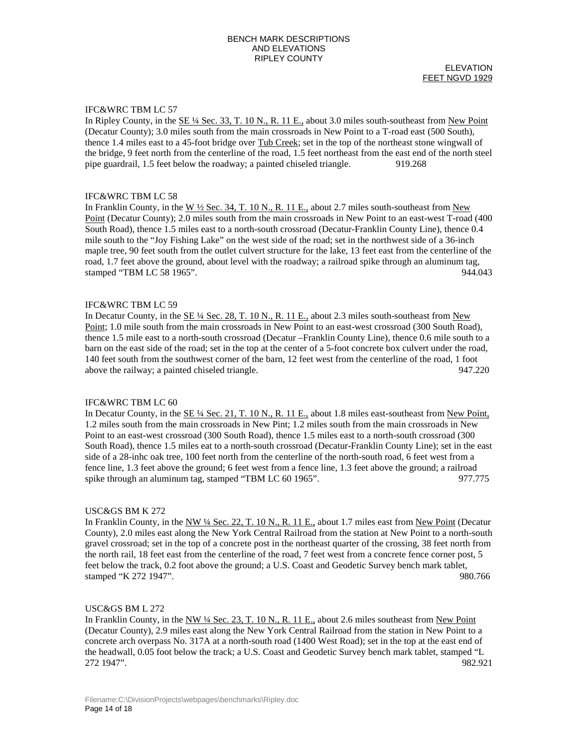ELEVATION FEET NGVD 1929

## IFC&WRC TBM LC 57

In Ripley County, in the SE 1/4 Sec. 33, T. 10 N., R. 11 E., about 3.0 miles south-southeast from New Point (Decatur County); 3.0 miles south from the main crossroads in New Point to a T-road east (500 South), thence 1.4 miles east to a 45-foot bridge over Tub Creek; set in the top of the northeast stone wingwall of the bridge, 9 feet north from the centerline of the road, 1.5 feet northeast from the east end of the north steel pipe guardrail, 1.5 feet below the roadway; a painted chiseled triangle. 919.268

#### IFC&WRC TBM LC 58

In Franklin County, in the W  $\frac{1}{2}$  Sec. 34, T. 10 N., R. 11 E., about 2.7 miles south-southeast from New Point (Decatur County); 2.0 miles south from the main crossroads in New Point to an east-west T-road (400 South Road), thence 1.5 miles east to a north-south crossroad (Decatur-Franklin County Line), thence 0.4 mile south to the "Joy Fishing Lake" on the west side of the road; set in the northwest side of a 36-inch maple tree, 90 feet south from the outlet culvert structure for the lake, 13 feet east from the centerline of the road, 1.7 feet above the ground, about level with the roadway; a railroad spike through an aluminum tag, stamped "TBM LC 58 1965". 944.043

### IFC&WRC TBM LC 59

In Decatur County, in the  $\underline{SE 4}$  Sec. 28, T. 10 N., R. 11 E., about 2.3 miles south-southeast from New Point; 1.0 mile south from the main crossroads in New Point to an east-west crossroad (300 South Road), thence 1.5 mile east to a north-south crossroad (Decatur –Franklin County Line), thence 0.6 mile south to a barn on the east side of the road; set in the top at the center of a 5-foot concrete box culvert under the road, 140 feet south from the southwest corner of the barn, 12 feet west from the centerline of the road, 1 foot above the railway; a painted chiseled triangle. 947.220

## IFC&WRC TBM LC 60

In Decatur County, in the  $\underline{\text{SE 4/}4 \text{ Sec. 21, T. 10 N., R. 11 E.,}}$  about 1.8 miles east-southeast from New Point, 1.2 miles south from the main crossroads in New Pint; 1.2 miles south from the main crossroads in New Point to an east-west crossroad (300 South Road), thence 1.5 miles east to a north-south crossroad (300 South Road), thence 1.5 miles eat to a north-south crossroad (Decatur-Franklin County Line); set in the east side of a 28-inhc oak tree, 100 feet north from the centerline of the north-south road, 6 feet west from a fence line, 1.3 feet above the ground; 6 feet west from a fence line, 1.3 feet above the ground; a railroad spike through an aluminum tag, stamped "TBM LC 60 1965". 977.775

## USC&GS BM K 272

In Franklin County, in the NW ¼ Sec. 22, T. 10 N., R. 11 E., about 1.7 miles east from New Point (Decatur County), 2.0 miles east along the New York Central Railroad from the station at New Point to a north-south gravel crossroad; set in the top of a concrete post in the northeast quarter of the crossing, 38 feet north from the north rail, 18 feet east from the centerline of the road, 7 feet west from a concrete fence corner post, 5 feet below the track, 0.2 foot above the ground; a U.S. Coast and Geodetic Survey bench mark tablet, stamped "K 272 1947". 980.766

## USC&GS BM L 272

In Franklin County, in the NW ¼ Sec. 23, T. 10 N., R. 11 E., about 2.6 miles southeast from New Point (Decatur County), 2.9 miles east along the New York Central Railroad from the station in New Point to a concrete arch overpass No. 317A at a north-south road (1400 West Road); set in the top at the east end of the headwall, 0.05 foot below the track; a U.S. Coast and Geodetic Survey bench mark tablet, stamped "L 272 1947". 982.921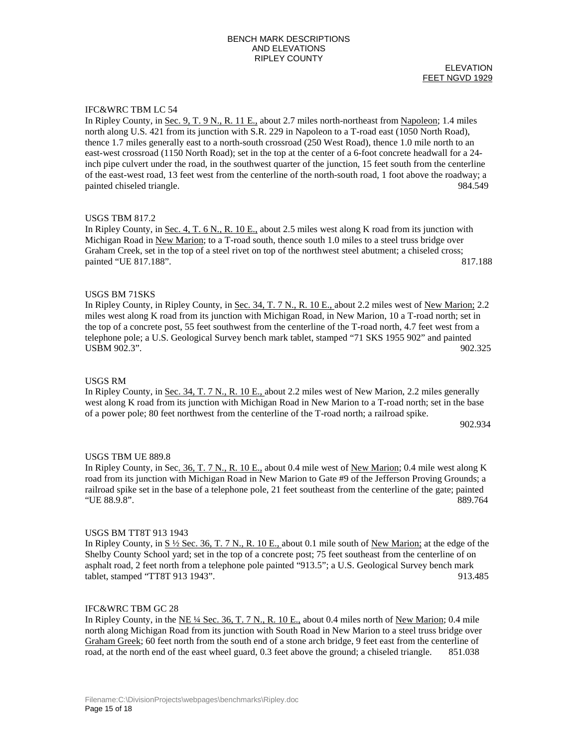### ELEVATION FEET NGVD 1929

## IFC&WRC TBM LC 54

In Ripley County, in Sec. 9, T. 9 N., R. 11 E., about 2.7 miles north-northeast from Napoleon; 1.4 miles north along U.S. 421 from its junction with S.R. 229 in Napoleon to a T-road east (1050 North Road), thence 1.7 miles generally east to a north-south crossroad (250 West Road), thence 1.0 mile north to an east-west crossroad (1150 North Road); set in the top at the center of a 6-foot concrete headwall for a 24 inch pipe culvert under the road, in the southwest quarter of the junction, 15 feet south from the centerline of the east-west road, 13 feet west from the centerline of the north-south road, 1 foot above the roadway; a painted chiseled triangle. 984.549

## USGS TBM 817.2

In Ripley County, in Sec. 4, T. 6 N., R. 10 E., about 2.5 miles west along K road from its junction with Michigan Road in New Marion; to a T-road south, thence south 1.0 miles to a steel truss bridge over Graham Creek, set in the top of a steel rivet on top of the northwest steel abutment; a chiseled cross; painted "UE 817.188". 817.188

# USGS BM 71SKS

In Ripley County, in Ripley County, in Sec. 34, T. 7 N., R. 10 E., about 2.2 miles west of New Marion; 2.2 miles west along K road from its junction with Michigan Road, in New Marion, 10 a T-road north; set in the top of a concrete post, 55 feet southwest from the centerline of the T-road north, 4.7 feet west from a telephone pole; a U.S. Geological Survey bench mark tablet, stamped "71 SKS 1955 902" and painted USBM 902.3". 902.325

## USGS RM

In Ripley County, in Sec. 34, T. 7 N., R. 10 E., about 2.2 miles west of New Marion, 2.2 miles generally west along K road from its junction with Michigan Road in New Marion to a T-road north; set in the base of a power pole; 80 feet northwest from the centerline of the T-road north; a railroad spike.

902.934

# USGS TBM UE 889.8

In Ripley County, in Sec. 36, T. 7 N., R. 10 E., about 0.4 mile west of New Marion; 0.4 mile west along K road from its junction with Michigan Road in New Marion to Gate #9 of the Jefferson Proving Grounds; a railroad spike set in the base of a telephone pole, 21 feet southeast from the centerline of the gate; painted "UE 88.9.8". 889.764

## USGS BM TT8T 913 1943

In Ripley County, in  $S \frac{1}{2}$  Sec. 36, T. 7 N., R. 10 E., about 0.1 mile south of New Marion; at the edge of the Shelby County School yard; set in the top of a concrete post; 75 feet southeast from the centerline of on asphalt road, 2 feet north from a telephone pole painted "913.5"; a U.S. Geological Survey bench mark tablet, stamped "TT8T 913 1943". 913.485

## IFC&WRC TBM GC 28

In Ripley County, in the NE ¼ Sec. 36, T. 7 N., R. 10 E., about 0.4 miles north of New Marion; 0.4 mile north along Michigan Road from its junction with South Road in New Marion to a steel truss bridge over Graham Greek; 60 feet north from the south end of a stone arch bridge, 9 feet east from the centerline of road, at the north end of the east wheel guard, 0.3 feet above the ground; a chiseled triangle. 851.038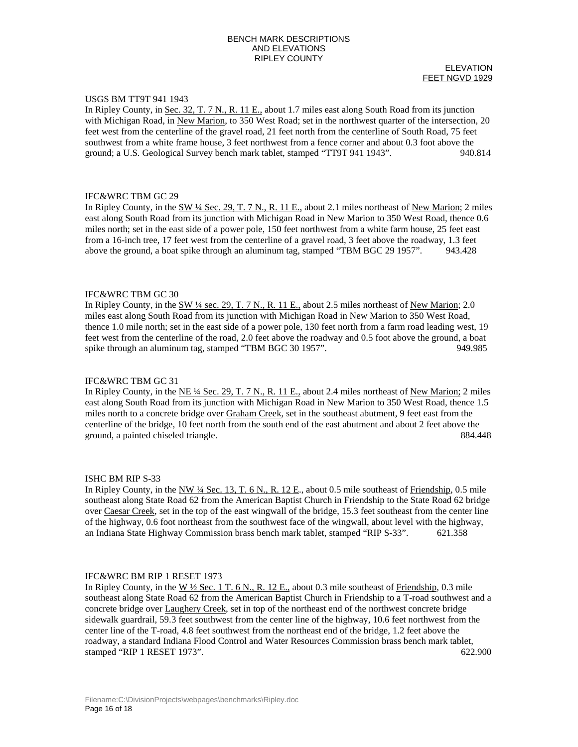#### ELEVATION FEET NGVD 1929

## USGS BM TT9T 941 1943

In Ripley County, in Sec. 32, T. 7 N., R. 11 E., about 1.7 miles east along South Road from its junction with Michigan Road, in New Marion, to 350 West Road; set in the northwest quarter of the intersection, 20 feet west from the centerline of the gravel road, 21 feet north from the centerline of South Road, 75 feet southwest from a white frame house, 3 feet northwest from a fence corner and about 0.3 foot above the ground; a U.S. Geological Survey bench mark tablet, stamped "TT9T 941 1943". 940.814

## IFC&WRC TBM GC 29

In Ripley County, in the SW 1/4 Sec. 29, T. 7 N., R. 11 E., about 2.1 miles northeast of New Marion; 2 miles east along South Road from its junction with Michigan Road in New Marion to 350 West Road, thence 0.6 miles north; set in the east side of a power pole, 150 feet northwest from a white farm house, 25 feet east from a 16-inch tree, 17 feet west from the centerline of a gravel road, 3 feet above the roadway, 1.3 feet above the ground, a boat spike through an aluminum tag, stamped "TBM BGC 29 1957". 943.428

#### IFC&WRC TBM GC 30

In Ripley County, in the SW 1/4 sec. 29, T. 7 N., R. 11 E., about 2.5 miles northeast of New Marion; 2.0 miles east along South Road from its junction with Michigan Road in New Marion to 350 West Road, thence 1.0 mile north; set in the east side of a power pole, 130 feet north from a farm road leading west, 19 feet west from the centerline of the road, 2.0 feet above the roadway and 0.5 foot above the ground, a boat spike through an aluminum tag, stamped "TBM BGC 30 1957". 949.985

## IFC&WRC TBM GC 31

In Ripley County, in the NE ¼ Sec. 29, T. 7 N., R. 11 E., about 2.4 miles northeast of New Marion; 2 miles east along South Road from its junction with Michigan Road in New Marion to 350 West Road, thence 1.5 miles north to a concrete bridge over Graham Creek, set in the southeast abutment, 9 feet east from the centerline of the bridge, 10 feet north from the south end of the east abutment and about 2 feet above the ground, a painted chiseled triangle. 884.448

## ISHC BM RIP S-33

In Ripley County, in the NW ¼ Sec. 13, T. 6 N., R. 12 E., about 0.5 mile southeast of Friendship, 0.5 mile southeast along State Road 62 from the American Baptist Church in Friendship to the State Road 62 bridge over Caesar Creek, set in the top of the east wingwall of the bridge, 15.3 feet southeast from the center line of the highway, 0.6 foot northeast from the southwest face of the wingwall, about level with the highway, an Indiana State Highway Commission brass bench mark tablet, stamped "RIP S-33". 621.358

# IFC&WRC BM RIP 1 RESET 1973

In Ripley County, in the  $W \frac{1}{2}$  Sec. 1 T. 6 N., R. 12 E., about 0.3 mile southeast of Friendship, 0.3 mile southeast along State Road 62 from the American Baptist Church in Friendship to a T-road southwest and a concrete bridge over Laughery Creek, set in top of the northeast end of the northwest concrete bridge sidewalk guardrail, 59.3 feet southwest from the center line of the highway, 10.6 feet northwest from the center line of the T-road, 4.8 feet southwest from the northeast end of the bridge, 1.2 feet above the roadway, a standard Indiana Flood Control and Water Resources Commission brass bench mark tablet, stamped "RIP 1 RESET 1973". 622.900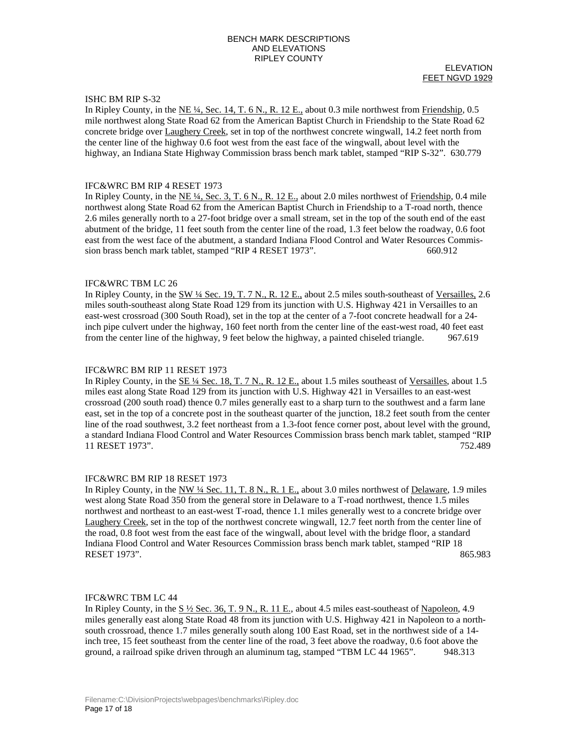#### ELEVATION FEET NGVD 1929

# ISHC BM RIP S-32

In Ripley County, in the NE  $\frac{1}{4}$ , Sec. 14, T. 6 N., R. 12 E., about 0.3 mile northwest from Friendship, 0.5 mile northwest along State Road 62 from the American Baptist Church in Friendship to the State Road 62 concrete bridge over Laughery Creek, set in top of the northwest concrete wingwall, 14.2 feet north from the center line of the highway 0.6 foot west from the east face of the wingwall, about level with the highway, an Indiana State Highway Commission brass bench mark tablet, stamped "RIP S-32". 630.779

### IFC&WRC BM RIP 4 RESET 1973

In Ripley County, in the NE ¼, Sec. 3, T. 6 N., R. 12 E., about 2.0 miles northwest of Friendship, 0.4 mile northwest along State Road 62 from the American Baptist Church in Friendship to a T-road north, thence 2.6 miles generally north to a 27-foot bridge over a small stream, set in the top of the south end of the east abutment of the bridge, 11 feet south from the center line of the road, 1.3 feet below the roadway, 0.6 foot east from the west face of the abutment, a standard Indiana Flood Control and Water Resources Commission brass bench mark tablet, stamped "RIP 4 RESET 1973". 660.912

#### IFC&WRC TBM LC 26

In Ripley County, in the SW ¼ Sec. 19, T. 7 N., R. 12 E., about 2.5 miles south-southeast of Versailles, 2.6 miles south-southeast along State Road 129 from its junction with U.S. Highway 421 in Versailles to an east-west crossroad (300 South Road), set in the top at the center of a 7-foot concrete headwall for a 24 inch pipe culvert under the highway, 160 feet north from the center line of the east-west road, 40 feet east from the center line of the highway, 9 feet below the highway, a painted chiseled triangle. 967.619

## IFC&WRC BM RIP 11 RESET 1973

In Ripley County, in the SE ¼ Sec. 18, T. 7 N., R. 12 E., about 1.5 miles southeast of Versailles, about 1.5 miles east along State Road 129 from its junction with U.S. Highway 421 in Versailles to an east-west crossroad (200 south road) thence 0.7 miles generally east to a sharp turn to the southwest and a farm lane east, set in the top of a concrete post in the southeast quarter of the junction, 18.2 feet south from the center line of the road southwest, 3.2 feet northeast from a 1.3-foot fence corner post, about level with the ground, a standard Indiana Flood Control and Water Resources Commission brass bench mark tablet, stamped "RIP 11 RESET 1973". 752.489

## IFC&WRC BM RIP 18 RESET 1973

In Ripley County, in the NW ¼ Sec. 11, T. 8 N., R. 1 E., about 3.0 miles northwest of Delaware, 1.9 miles west along State Road 350 from the general store in Delaware to a T-road northwest, thence 1.5 miles northwest and northeast to an east-west T-road, thence 1.1 miles generally west to a concrete bridge over Laughery Creek, set in the top of the northwest concrete wingwall, 12.7 feet north from the center line of the road, 0.8 foot west from the east face of the wingwall, about level with the bridge floor, a standard Indiana Flood Control and Water Resources Commission brass bench mark tablet, stamped "RIP 18 RESET 1973". 865.983

## IFC&WRC TBM LC 44

In Ripley County, in the  $\underline{S \frac{1}{2} \text{Sec. 36, T. 9 N., R. 11 E.}}$ , about 4.5 miles east-southeast of Napoleon, 4.9 miles generally east along State Road 48 from its junction with U.S. Highway 421 in Napoleon to a northsouth crossroad, thence 1.7 miles generally south along 100 East Road, set in the northwest side of a 14 inch tree, 15 feet southeast from the center line of the road, 3 feet above the roadway, 0.6 foot above the ground, a railroad spike driven through an aluminum tag, stamped "TBM LC 44 1965". 948.313